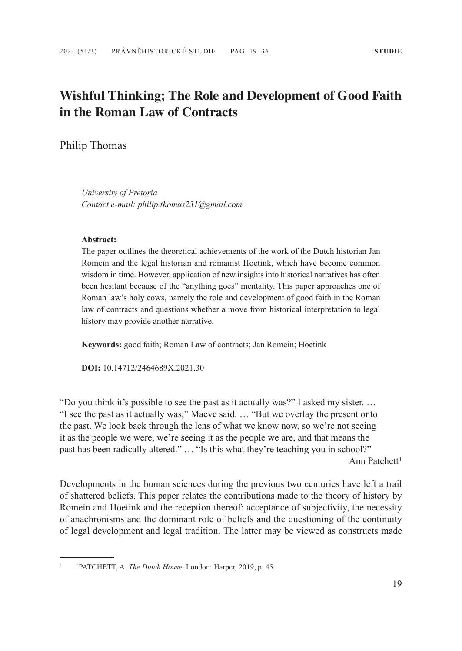# **Wishful Thinking; The Role and Development of Good Faith in the Roman Law of Contracts**

Philip Thomas

*University of Pretoria Contact e-mail: philip.thomas231@gmail.com*

#### **Abstract:**

The paper outlines the theoretical achievements of the work of the Dutch historian Jan Romein and the legal historian and romanist Hoetink, which have become common wisdom in time. However, application of new insights into historical narratives has often been hesitant because of the "anything goes" mentality. This paper approaches one of Roman law's holy cows, namely the role and development of good faith in the Roman law of contracts and questions whether a move from historical interpretation to legal history may provide another narrative.

**Keywords:** good faith; Roman Law of contracts; Jan Romein; Hoetink

**DOI:** 10.14712/2464689X.2021.30

"Do you think it's possible to see the past as it actually was?" I asked my sister. … "I see the past as it actually was," Maeve said. … "But we overlay the present onto the past. We look back through the lens of what we know now, so we're not seeing it as the people we were, we're seeing it as the people we are, and that means the past has been radically altered." … "Is this what they're teaching you in school?" Ann Patchett<sup>1</sup>

Developments in the human sciences during the previous two centuries have left a trail of shattered beliefs. This paper relates the contributions made to the theory of history by Romein and Hoetink and the reception thereof: acceptance of subjectivity, the necessity of anachronisms and the dominant role of beliefs and the questioning of the continuity of legal development and legal tradition. The latter may be viewed as constructs made

<sup>1</sup> PATCHETT, A. *The Dutch House*. London: Harper, 2019, p. 45.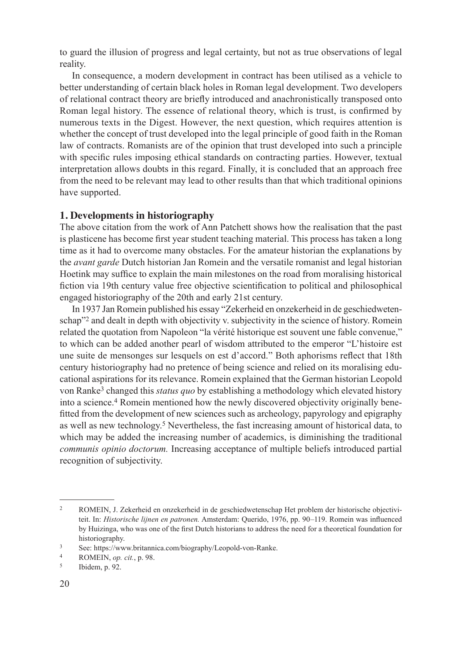to guard the illusion of progress and legal certainty, but not as true observations of legal reality.

In consequence, a modern development in contract has been utilised as a vehicle to better understanding of certain black holes in Roman legal development. Two developers of relational contract theory are briefly introduced and anachronistically transposed onto Roman legal history. The essence of relational theory, which is trust, is confirmed by numerous texts in the Digest. However, the next question, which requires attention is whether the concept of trust developed into the legal principle of good faith in the Roman law of contracts. Romanists are of the opinion that trust developed into such a principle with specific rules imposing ethical standards on contracting parties. However, textual interpretation allows doubts in this regard. Finally, it is concluded that an approach free from the need to be relevant may lead to other results than that which traditional opinions have supported.

## **1. Developments in historiography**

The above citation from the work of Ann Patchett shows how the realisation that the past is plasticene has become first year student teaching material. This process has taken a long time as it had to overcome many obstacles. For the amateur historian the explanations by the *avant garde* Dutch historian Jan Romein and the versatile romanist and legal historian Hoetink may suffice to explain the main milestones on the road from moralising historical fiction via 19th century value free objective scientification to political and philosophical engaged historiography of the 20th and early 21st century.

In 1937 Jan Romein published his essay "Zekerheid en onzekerheid in de geschiedwetenschap"<sup>2</sup> and dealt in depth with objectivity v. subjectivity in the science of history. Romein related the quotation from Napoleon "la vérité historique est souvent une fable convenue," to which can be added another pearl of wisdom attributed to the emperor "L'histoire est une suite de mensonges sur lesquels on est d'accord." Both aphorisms reflect that 18th century historiography had no pretence of being science and relied on its moralising educational aspirations for its relevance. Romein explained that the German historian Leopold von Ranke3 changed this *status quo* by establishing a methodology which elevated history into a science.4 Romein mentioned how the newly discovered objectivity originally benefitted from the development of new sciences such as archeology, papyrology and epigraphy as well as new technology.5 Nevertheless, the fast increasing amount of historical data, to which may be added the increasing number of academics, is diminishing the traditional *communis opinio doctorum.* Increasing acceptance of multiple beliefs introduced partial recognition of subjectivity.

<sup>2</sup> ROMEIN, J. Zekerheid en onzekerheid in de geschiedwetenschap Het problem der historische objectiviteit. In: *Historische lijnen en patronen.* Amsterdam: Querido, 1976, pp. 90–119. Romein was influenced by Huizinga, who was one of the first Dutch historians to address the need for a theoretical foundation for historiography.

<sup>3</sup> See: https://www.britannica.com/biography/Leopold-von-Ranke.

<sup>4</sup> ROMEIN, *op. cit.*, p. 98.

<sup>5</sup> Ibidem, p. 92.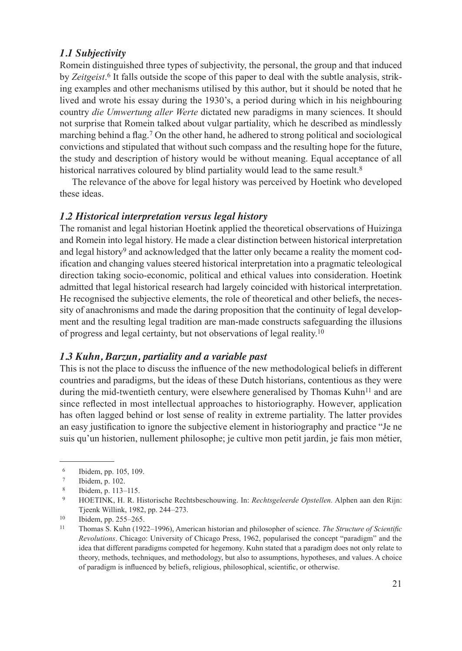# *1.1 Subjectivity*

Romein distinguished three types of subjectivity, the personal, the group and that induced by *Zeitgeist*. 6 It falls outside the scope of this paper to deal with the subtle analysis, striking examples and other mechanisms utilised by this author, but it should be noted that he lived and wrote his essay during the 1930's, a period during which in his neighbouring country *die Umwertung aller Werte* dictated new paradigms in many sciences. It should not surprise that Romein talked about vulgar partiality, which he described as mindlessly marching behind a flag.7 On the other hand, he adhered to strong political and sociological convictions and stipulated that without such compass and the resulting hope for the future, the study and description of history would be without meaning. Equal acceptance of all historical narratives coloured by blind partiality would lead to the same result.<sup>8</sup>

The relevance of the above for legal history was perceived by Hoetink who developed these ideas.

#### *1.2 Historical interpretation versus legal history*

The romanist and legal historian Hoetink applied the theoretical observations of Huizinga and Romein into legal history. He made a clear distinction between historical interpretation and legal history<sup>9</sup> and acknowledged that the latter only became a reality the moment codification and changing values steered historical interpretation into a pragmatic teleological direction taking socio-economic, political and ethical values into consideration. Hoetink admitted that legal historical research had largely coincided with historical interpretation. He recognised the subjective elements, the role of theoretical and other beliefs, the necessity of anachronisms and made the daring proposition that the continuity of legal development and the resulting legal tradition are man-made constructs safeguarding the illusions of progress and legal certainty, but not observations of legal reality.10

## *1.3 Kuhn, Barzun, partiality and a variable past*

This is not the place to discuss the influence of the new methodological beliefs in different countries and paradigms, but the ideas of these Dutch historians, contentious as they were during the mid-twentieth century, were elsewhere generalised by Thomas Kuhn<sup>11</sup> and are since reflected in most intellectual approaches to historiography. However, application has often lagged behind or lost sense of reality in extreme partiality. The latter provides an easy justification to ignore the subjective element in historiography and practice "Je ne suis qu'un historien, nullement philosophe; je cultive mon petit jardin, je fais mon métier,

<sup>6</sup> Ibidem, pp. 105, 109.

 $\frac{7}{8}$  Ibidem, p. 102.

<sup>8</sup> Ibidem, p. 113–115.

<sup>9</sup> HOETINK, H. R. Historische Rechtsbeschouwing. In: *Rechtsgeleerde Opstellen.* Alphen aan den Rijn: Tjeenk Willink, 1982, pp. 244–273.

 $10$  Ibidem, pp. 255–265.<br>11 Thomas S. Kubn (192

<sup>11</sup> Thomas S. Kuhn (1922–1996), American historian and philosopher of science. *The Structure of Scientific Revolutions*. Chicago: University of Chicago Press, 1962, popularised the concept "paradigm" and the idea that different paradigms competed for hegemony. Kuhn stated that a paradigm does not only relate to theory, methods, techniques, and methodology, but also to assumptions, hypotheses, and values. A choice of paradigm is influenced by beliefs, religious, philosophical, scientific, or otherwise.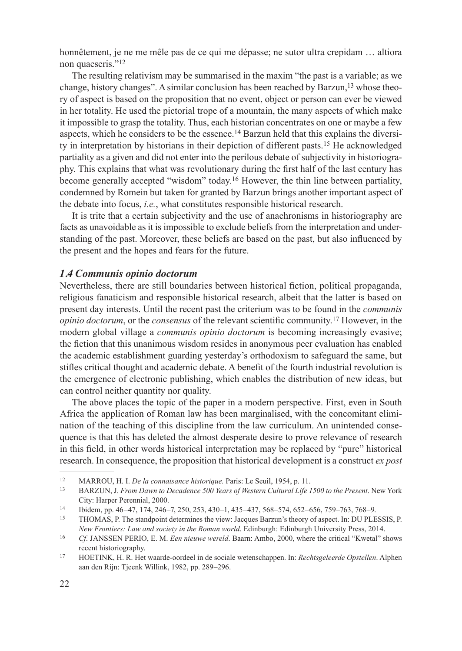honnêtement, je ne me mêle pas de ce qui me dépasse; ne sutor ultra crepidam ... altiora non quaeseris."<sup>12</sup>

The resulting relativism may be summarised in the maxim "the past is a variable; as we change, history changes". A similar conclusion has been reached by Barzun,  $13$  whose theory of aspect is based on the proposition that no event, object or person can ever be viewed in her totality. He used the pictorial trope of a mountain, the many aspects of which make it impossible to grasp the totality. Thus, each historian concentrates on one or maybe a few aspects, which he considers to be the essence.14 Barzun held that this explains the diversity in interpretation by historians in their depiction of different pasts.15 He acknowledged partiality as a given and did not enter into the perilous debate of subjectivity in historiography. This explains that what was revolutionary during the first half of the last century has become generally accepted "wisdom" today.16 However, the thin line between partiality, condemned by Romein but taken for granted by Barzun brings another important aspect of the debate into focus, *i.e.*, what constitutes responsible historical research.

It is trite that a certain subjectivity and the use of anachronisms in historiography are facts as unavoidable as it is impossible to exclude beliefs from the interpretation and understanding of the past. Moreover, these beliefs are based on the past, but also influenced by the present and the hopes and fears for the future.

#### *1.4 Communis opinio doctorum*

Nevertheless, there are still boundaries between historical fiction, political propaganda, religious fanaticism and responsible historical research, albeit that the latter is based on present day interests. Until the recent past the criterium was to be found in the *communis opinio doctorum*, or the *consensus* of the relevant scientific community.17 However, in the modern global village a *communis opinio doctorum* is becoming increasingly evasive; the fiction that this unanimous wisdom resides in anonymous peer evaluation has enabled the academic establishment guarding yesterday's orthodoxism to safeguard the same, but stifles critical thought and academic debate. A benefit of the fourth industrial revolution is the emergence of electronic publishing, which enables the distribution of new ideas, but can control neither quantity nor quality.

The above places the topic of the paper in a modern perspective. First, even in South Africa the application of Roman law has been marginalised, with the concomitant elimination of the teaching of this discipline from the law curriculum. An unintended consequence is that this has deleted the almost desperate desire to prove relevance of research in this field, in other words historical interpretation may be replaced by "pure" historical research. In consequence, the proposition that historical development is a construct *ex post* 

<sup>12</sup> MARROU, H. I. *De la connaisance historique*. Paris: Le Seuil, 1954, p. 11.<br>13 DARZUN J. From Drum to Docedares 500 Veaus of Weston, Cultural Life J.

<sup>13</sup> BARZUN, J. *From Dawn to Decadence 500 Years of Western Cultural Life 1500 to the Present*. New York City: Harper Perennial, 2000.

<sup>14</sup> Ibidem, pp. 46–47, 174, 246–7, 250, 253, 430–1, 435–437, 568–574, 652–656, 759–763, 768–9.<br>15 THOMAS P The standpoint determines the view: Jacques Barzun's theory of aspect In: DUP E

<sup>15</sup> THOMAS, P. The standpoint determines the view: Jacques Barzun's theory of aspect. In: DU PLESSIS, P. *New Frontiers: Law and society in the Roman world*. Edinburgh: Edinburgh University Press, 2014.

<sup>16</sup> *Cf*. JANSSEN PERIO, E. M. *Een nieuwe wereld*. Baarn: Ambo, 2000, where the critical "Kwetal" shows recent historiography.

<sup>17</sup> HOETINK, H. R. Het waarde-oordeel in de sociale wetenschappen. In: *Rechtsgeleerde Opstellen*. Alphen aan den Rijn: Tjeenk Willink, 1982, pp. 289–296.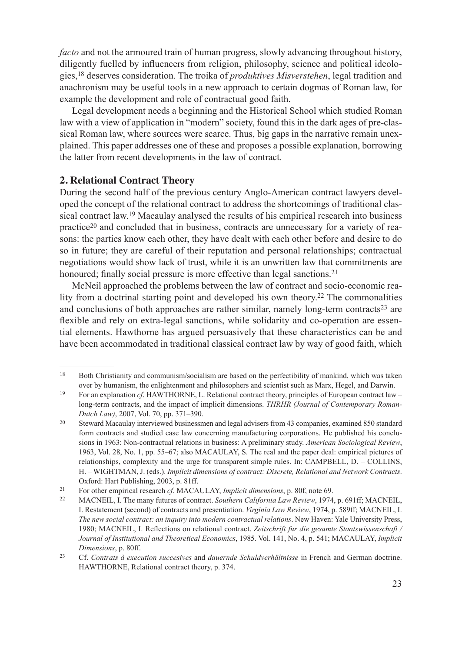*facto* and not the armoured train of human progress, slowly advancing throughout history, diligently fuelled by influencers from religion, philosophy, science and political ideologies,18 deserves consideration. The troika of *produktives Misverstehen*, legal tradition and anachronism may be useful tools in a new approach to certain dogmas of Roman law, for example the development and role of contractual good faith.

Legal development needs a beginning and the Historical School which studied Roman law with a view of application in "modern" society, found this in the dark ages of pre-classical Roman law, where sources were scarce. Thus, big gaps in the narrative remain unexplained. This paper addresses one of these and proposes a possible explanation, borrowing the latter from recent developments in the law of contract.

# **2. Relational Contract Theory**

During the second half of the previous century Anglo-American contract lawyers developed the concept of the relational contract to address the shortcomings of traditional classical contract law.19 Macaulay analysed the results of his empirical research into business practice<sup>20</sup> and concluded that in business, contracts are unnecessary for a variety of reasons: the parties know each other, they have dealt with each other before and desire to do so in future; they are careful of their reputation and personal relationships; contractual negotiations would show lack of trust, while it is an unwritten law that commitments are honoured; finally social pressure is more effective than legal sanctions.<sup>21</sup>

McNeil approached the problems between the law of contract and socio-economic reality from a doctrinal starting point and developed his own theory.<sup>22</sup> The commonalities and conclusions of both approaches are rather similar, namely long-term contracts $2<sup>3</sup>$  are flexible and rely on extra-legal sanctions, while solidarity and co-operation are essential elements. Hawthorne has argued persuasively that these characteristics can be and have been accommodated in traditional classical contract law by way of good faith, which

<sup>&</sup>lt;sup>18</sup> Both Christianity and communism/socialism are based on the perfectibility of mankind, which was taken over by humanism, the enlightenment and philosophers and scientist such as Marx, Hegel, and Darwin.

<sup>19</sup> For an explanation *cf*. HAWTHORNE, L. Relational contract theory, principles of European contract law – long-term contracts, and the impact of implicit dimensions. *THRHR (Journal of Contemporary Roman-Dutch Law)*, 2007, Vol. 70, pp. 371–390.

<sup>&</sup>lt;sup>20</sup> Steward Macaulay interviewed businessmen and legal advisers from 43 companies, examined 850 standard form contracts and studied case law concerning manufacturing corporations. He published his conclusions in 1963: Non-contractual relations in business: A preliminary study. *American Sociological Review*, 1963, Vol. 28, No. 1, pp. 55–67; also MACAULAY, S. The real and the paper deal: empirical pictures of relationships, complexity and the urge for transparent simple rules. In: CAMPBELL, D. – COLLINS, H. – WIGHTMAN, J. (eds.). *Implicit dimensions of contract: Discrete, Relational and Network Contracts*. Oxford: Hart Publishing, 2003, p. 81ff.

<sup>21</sup> For other empirical research *cf*. MACAULAY, *Implicit dimensions*, p. 80f, note 69.

<sup>22</sup> MACNEIL, I. The many futures of contract. *Southern California Law Review*, 1974, p. 691ff; MACNEIL, I. Restatement (second) of contracts and presentiation. *Virginia Law Review*, 1974, p. 589ff; MACNEIL, I. *The new social contract: an inquiry into modern contractual relations*. New Haven: Yale University Press, 1980; MACNEIL, I. Reflections on relational contract. *Zeitschrift fur die gesamte Staatswissenschaft / Journal of Institutional and Theoretical Economics*, 1985. Vol. 141, No. 4, p. 541; MACAULAY, *Implicit Dimensions*, p. 80ff.

<sup>23</sup> Cf. *Contrats à execution succesives* and *dauernde Schuldverhältnisse* in French and German doctrine. HAWTHORNE, Relational contract theory, p. 374.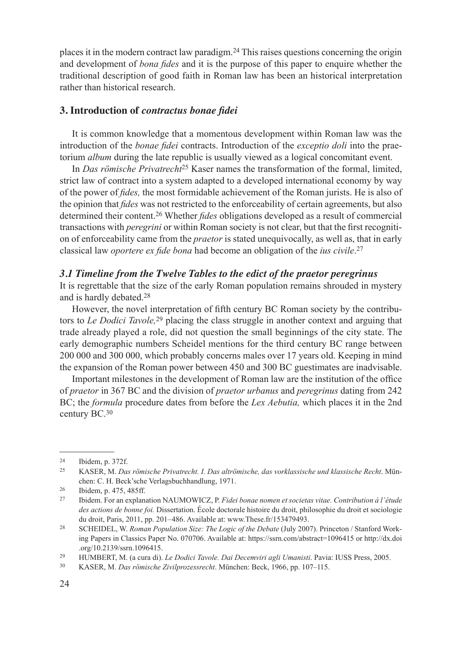places it in the modern contract law paradigm.24 This raises questions concerning the origin and development of *bona fides* and it is the purpose of this paper to enquire whether the traditional description of good faith in Roman law has been an historical interpretation rather than historical research.

## **3. Introduction of** *contractus bonae fidei*

It is common knowledge that a momentous development within Roman law was the introduction of the *bonae fidei* contracts. Introduction of the *exceptio doli* into the praetorium *album* during the late republic is usually viewed as a logical concomitant event.

In *Das römische Privatrecht*25 Kaser names the transformation of the formal, limited, strict law of contract into a system adapted to a developed international economy by way of the power of *fides,* the most formidable achievement of the Roman jurists. He is also of the opinion that *fides* was not restricted to the enforceability of certain agreements, but also determined their content.26 Whether *fides* obligations developed as a result of commercial transactions with *peregrini* or within Roman society is not clear, but that the first recognition of enforceability came from the *praetor* is stated unequivocally, as well as, that in early classical law *oportere ex fide bona* had become an obligation of the *ius civile*. 27

#### *3.1 Timeline from the Twelve Tables to the edict of the praetor peregrinus*

It is regrettable that the size of the early Roman population remains shrouded in mystery and is hardly debated.28

However, the novel interpretation of fifth century BC Roman society by the contributors to *Le Dodici Tavole,*29 placing the class struggle in another context and arguing that trade already played a role, did not question the small beginnings of the city state. The early demographic numbers Scheidel mentions for the third century BC range between 200 000 and 300 000, which probably concerns males over 17 years old. Keeping in mind the expansion of the Roman power between 450 and 300 BC guestimates are inadvisable.

Important milestones in the development of Roman law are the institution of the office of *praetor* in 367 BC and the division of *praetor urbanus* and *peregrinus* dating from 242 BC; the *formula* procedure dates from before the *Lex Aebutia,* which places it in the 2nd century BC.30

<sup>24</sup> Ibidem, p. 372f.

<sup>25</sup> KASER, M. *Das römische Privatrecht. I. Das altrömische, das vorklassische und klassische Recht*. München: C. H. Beck'sche Verlagsbuchhandlung, 1971. 26 Ibidem, p. 475, 485ff.

<sup>27</sup> Ibidem. For an explanation NAUMOWICZ, P. *Fidei bonae nomen et societas vitae. Contribution à l'étude des actions de bonne foi.* Dissertation. École doctorale histoire du droit, philosophie du droit et sociologie du droit, Paris, 2011, pp. 201–486. Available at: www.These.fr/153479493.

<sup>28</sup> SCHEIDEL, W. *Roman Population Size: The Logic of the Debate* (July 2007). Princeton / Stanford Working Papers in Classics Paper No. 070706. Available at: https://ssrn.com/abstract=1096415 or http://dx.doi .org/10.2139/ssrn.1096415.

<sup>29</sup> HUMBERT, M. (a cura di). *Le Dodici Tavole. Dai Decemviri agli Umanisti*. Pavia: IUSS Press, 2005. 30 KASER, M. *Das römische Zivilprozessrecht*. München: Beck, 1966, pp. 107–115.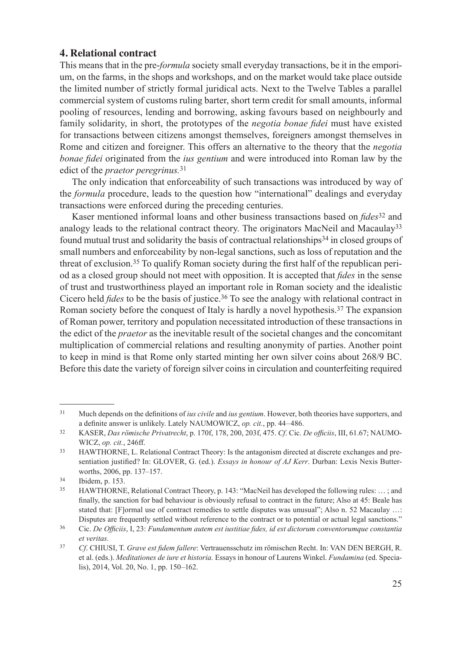# **4. Relational contract**

This means that in the pre-*formula* society small everyday transactions, be it in the emporium, on the farms, in the shops and workshops, and on the market would take place outside the limited number of strictly formal juridical acts. Next to the Twelve Tables a parallel commercial system of customs ruling barter, short term credit for small amounts, informal pooling of resources, lending and borrowing, asking favours based on neighbourly and family solidarity, in short, the prototypes of the *negotia bonae fidei* must have existed for transactions between citizens amongst themselves, foreigners amongst themselves in Rome and citizen and foreigner. This offers an alternative to the theory that the *negotia bonae fidei* originated from the *ius gentium* and were introduced into Roman law by the edict of the *praetor peregrinus.*<sup>31</sup>

The only indication that enforceability of such transactions was introduced by way of the *formula* procedure, leads to the question how "international" dealings and everyday transactions were enforced during the preceding centuries.

Kaser mentioned informal loans and other business transactions based on *fides*32 and analogy leads to the relational contract theory. The originators MacNeil and Macaulay<sup>33</sup> found mutual trust and solidarity the basis of contractual relationships<sup>34</sup> in closed groups of small numbers and enforceability by non-legal sanctions, such as loss of reputation and the threat of exclusion.35 To qualify Roman society during the first half of the republican period as a closed group should not meet with opposition. It is accepted that *fides* in the sense of trust and trustworthiness played an important role in Roman society and the idealistic Cicero held *fides* to be the basis of justice.36 To see the analogy with relational contract in Roman society before the conquest of Italy is hardly a novel hypothesis.<sup>37</sup> The expansion of Roman power, territory and population necessitated introduction of these transactions in the edict of the *praetor* as the inevitable result of the societal changes and the concomitant multiplication of commercial relations and resulting anonymity of parties. Another point to keep in mind is that Rome only started minting her own silver coins about 268/9 BC. Before this date the variety of foreign silver coins in circulation and counterfeiting required

<sup>31</sup> Much depends on the definitions of *ius civile* and *ius gentium*. However, both theories have supporters, and a definite answer is unlikely. Lately NAUMOWICZ, *op. cit.*, pp. 44–486.

<sup>32</sup> KASER, *Das römische Privatrecht*, p. 170f, 178, 200, 203f, 475. *Cf*. Cic. *De officiis*, III, 61.67; NAUMO-WICZ, *op. cit.*, 246ff.

<sup>33</sup> HAWTHORNE, L. Relational Contract Theory: Is the antagonism directed at discrete exchanges and presentiation justified? In: GLOVER, G. (ed.). *Essays in honour of AJ Kerr*. Durban: Lexis Nexis Butterworths, 2006, pp. 137–157.<br>
134 Ibidem, p. 153.

<sup>35</sup> HAWTHORNE, Relational Contract Theory, p. 143: "MacNeil has developed the following rules: … ; and finally, the sanction for bad behaviour is obviously refusal to contract in the future; Also at 45: Beale has stated that: [F]ormal use of contract remedies to settle disputes was unusual"; Also n. 52 Macaulay ...: Disputes are frequently settled without reference to the contract or to potential or actual legal sanctions."<br>Cic. De Officiis, I, 23: Fundamentum autem est iustitiae fides, id est dictorum conventorumque constantia

*et veritas.*

<sup>37</sup> *Cf*. CHIUSI, T. *Grave est fidem fallere*: Vertrauensschutz im römischen Recht. In: VAN DEN BERGH, R. et al. (eds.). *Meditationes de iure et historia.* Essays in honour of Laurens Winkel. *Fundamina* (ed. Specialis), 2014, Vol. 20, No. 1, pp. 150–162.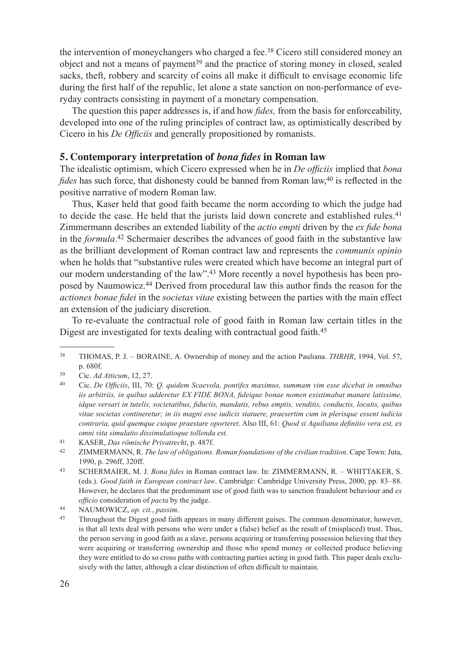the intervention of moneychangers who charged a fee.<sup>38</sup> Cicero still considered money an object and not a means of payment39 and the practice of storing money in closed, sealed sacks, theft, robbery and scarcity of coins all make it difficult to envisage economic life during the first half of the republic, let alone a state sanction on non-performance of everyday contracts consisting in payment of a monetary compensation.

The question this paper addresses is, if and how *fides,* from the basis for enforceability, developed into one of the ruling principles of contract law, as optimistically described by Cicero in his *De Officiis* and generally propositioned by romanists.

## **5. Contemporary interpretation of** *bona fides* **in Roman law**

The idealistic optimism, which Cicero expressed when he in *De officiis* implied that *bona fides* has such force, that dishonesty could be banned from Roman law,<sup>40</sup> is reflected in the positive narrative of modern Roman law.

Thus, Kaser held that good faith became the norm according to which the judge had to decide the case. He held that the jurists laid down concrete and established rules.<sup>41</sup> Zimmermann describes an extended liability of the *actio empti* driven by the *ex fide bona* in the *formula*. 42 Schermaier describes the advances of good faith in the substantive law as the brilliant development of Roman contract law and represents the *communis opinio* when he holds that "substantive rules were created which have become an integral part of our modern understanding of the law".43 More recently a novel hypothesis has been proposed by Naumowicz.44 Derived from procedural law this author finds the reason for the *actiones bonae fidei* in the *societas vitae* existing between the parties with the main effect an extension of the judiciary discretion.

To re-evaluate the contractual role of good faith in Roman law certain titles in the Digest are investigated for texts dealing with contractual good faith.<sup>45</sup>

<sup>38</sup> THOMAS, P. J. – BORAINE, A. Ownership of money and the action Pauliana. *THRHR*, 1994, Vol. 57, p. 680f.

<sup>39</sup> Cic. *Ad Atticum*, 12, 27.

<sup>40</sup> Cic. *De Officiis*, III, 70: *Q. quidem Scaevola, pontifex maximus, summam vim esse dicebat in omnibus iis arbitriis, in quibus adderetur EX FIDE BONA, fideique bonae nomen existimabat manare latissime, idque versari in tutelis, societatibus, fiduciis, mandatis, rebus emptis, venditis, conductis, locatis, quibus vitae societas contineretur; in iis magni esse iudicis statuere, praesertim cum in plerisque essent iudicia contraria, quid quemque cuique praestare oporteret*. Also III, 61: *Quod si Aquiliana definitio vera est, ex omni vita simulatio dissimulatioque tollenda est.*

<sup>41</sup> KASER, *Das römische Privatrecht*, p. 487f.

<sup>42</sup> ZIMMERMANN, R. *The law of obligations. Roman foundations of the civilian tradition*. Cape Town: Juta, 1990, p. 296ff, 320ff.

<sup>43</sup> SCHERMAIER, M. J. *Bona fides* in Roman contract law. In: ZIMMERMANN, R. – WHITTAKER, S. (eds.). *Good faith in European contract law*. Cambridge: Cambridge University Press, 2000, pp. 83–88. However, he declares that the predominant use of good faith was to sanction fraudulent behaviour and *ex officio* consideration of *pacta* by the judge.

<sup>44</sup> NAUMOWICZ, *op. cit.*, *passim*. 45 Throughout the Digest good faith appears in many different guises. The common denominator, however, is that all texts deal with persons who were under a (false) belief as the result of (misplaced) trust. Thus, the person serving in good faith as a slave, persons acquiring or transferring possession believing that they were acquiring or transferring ownership and those who spend money or collected produce believing they were entitled to do so cross paths with contracting parties acting in good faith. This paper deals exclusively with the latter, although a clear distinction of often difficult to maintain.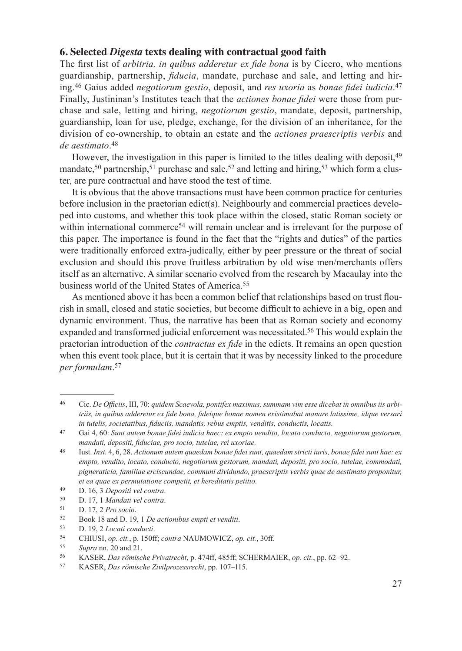# **6. Selected** *Digesta* **texts dealing with contractual good faith**

The first list of *arbitria, in quibus adderetur ex fide bona* is by Cicero, who mentions guardianship, partnership, *fiducia*, mandate, purchase and sale, and letting and hiring.46 Gaius added *negotiorum gestio*, deposit, and *res uxoria* as *bonae fidei iudicia*. 47 Finally, Justininan's Institutes teach that the *actiones bonae fidei* were those from purchase and sale, letting and hiring, *negotiorum gestio*, mandate, deposit, partnership, guardianship, loan for use, pledge, exchange, for the division of an inheritance, for the division of co-ownership, to obtain an estate and the *actiones praescriptis verbis* and *de aestimato*. 48

However, the investigation in this paper is limited to the titles dealing with deposit, <sup>49</sup> mandate,<sup>50</sup> partnership,<sup>51</sup> purchase and sale,<sup>52</sup> and letting and hiring,<sup>53</sup> which form a cluster, are pure contractual and have stood the test of time.

It is obvious that the above transactions must have been common practice for centuries before inclusion in the praetorian edict(s). Neighbourly and commercial practices developed into customs, and whether this took place within the closed, static Roman society or within international commerce<sup>54</sup> will remain unclear and is irrelevant for the purpose of this paper. The importance is found in the fact that the "rights and duties" of the parties were traditionally enforced extra-judically, either by peer pressure or the threat of social exclusion and should this prove fruitless arbitration by old wise men/merchants offers itself as an alternative. A similar scenario evolved from the research by Macaulay into the business world of the United States of America.55

As mentioned above it has been a common belief that relationships based on trust flourish in small, closed and static societies, but become difficult to achieve in a big, open and dynamic environment. Thus, the narrative has been that as Roman society and economy expanded and transformed judicial enforcement was necessitated.56 This would explain the praetorian introduction of the *contractus ex fide* in the edicts. It remains an open question when this event took place, but it is certain that it was by necessity linked to the procedure *per formulam*. 57

<sup>46</sup> Cic. *De Officiis*, III, 70: *quidem Scaevola, pontifex maximus, summam vim esse dicebat in omnibus iis arbitriis, in quibus adderetur ex fide bona, fideique bonae nomen existimabat manare latissime, idque versari in tutelis, societatibus, fiduciis, mandatis, rebus emptis, venditis, conductis, locatis.*

<sup>47</sup> Gai 4, 60: *Sunt autem bonae fidei iudicia haec: ex empto uendito, locato conducto, negotiorum gestorum, mandati, depositi, fiduciae, pro socio, tutelae, rei uxoriae.*

<sup>48</sup> Iust. *Inst.* 4, 6, 28. *Actionum autem quaedam bonae fidei sunt, quaedam stricti iuris, bonae fidei sunt hae: ex empto, vendito, locato, conducto, negotiorum gestorum, mandati, depositi, pro socio, tutelae, commodati, pigneraticia, familiae erciscundae, communi dividundo, praescriptis verbis quae de aestimato proponitur, et ea quae ex permutatione competit, et hereditatis petitio.*

<sup>49</sup> D. 16, 3 *Depositi vel contra*.

<sup>50</sup> D. 17, 1 *Mandati vel contra*.

<sup>51</sup> D. 17, 2 *Pro socio*.

<sup>52</sup> Book 18 and D. 19, 1 *De actionibus empti et venditi*.

<sup>53</sup> D. 19, 2 *Locati conducti*.

<sup>54</sup> CHIUSI, *op. cit.*, p. 150ff; *contra* NAUMOWICZ, *op. cit.*, 30ff.

<sup>55</sup> *Supra* nn. 20 and 21.

<sup>56</sup> KASER, *Das römische Privatrecht*, p. 474ff, 485ff; SCHERMAIER, *op. cit.*, pp. 62–92.

<sup>57</sup> KASER, *Das römische Zivilprozessrecht*, pp. 107–115.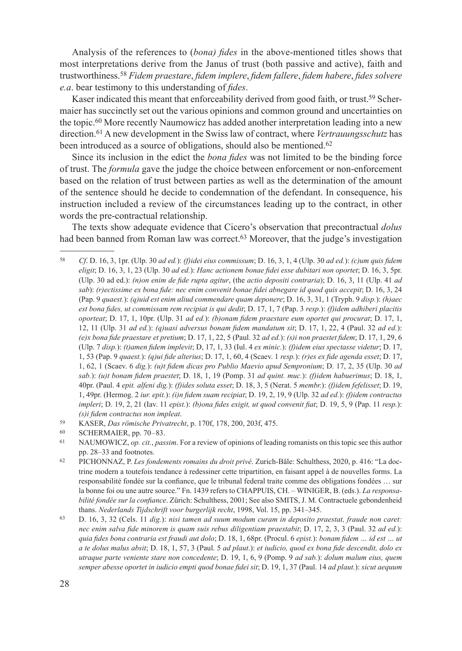Analysis of the references to (*bona) fides* in the above-mentioned titles shows that most interpretations derive from the Janus of trust (both passive and active), faith and trustworthiness.58 *Fidem praestare*, *fidem implere*, *fidem fallere*, *fidem habere*, *fides solvere e.a*. bear testimony to this understanding of *fides*.

Kaser indicated this meant that enforceability derived from good faith, or trust.<sup>59</sup> Schermaier has succinctly set out the various opinions and common ground and uncertainties on the topic.60 More recently Naumowicz has added another interpretation leading into a new direction.61 A new development in the Swiss law of contract, where *Vertrauungsschutz* has been introduced as a source of obligations, should also be mentioned.<sup>62</sup>

Since its inclusion in the edict the *bona fides* was not limited to be the binding force of trust. The *formula* gave the judge the choice between enforcement or non-enforcement based on the relation of trust between parties as well as the determination of the amount of the sentence should he decide to condemnation of the defendant. In consequence, his instruction included a review of the circumstances leading up to the contract, in other words the pre-contractual relationship.

The texts show adequate evidence that Cicero's observation that precontractual *dolus* had been banned from Roman law was correct.<sup>63</sup> Moreover, that the judge's investigation

<sup>58</sup> *Cf*. D. 16, 3, 1pr. (Ulp. 30 *ad ed.*): *(f)idei eius commissum*; D. 16, 3, 1, 4 (Ulp. 30 *ad ed.*): *(c)um quis fidem eligit*; D. 16, 3, 1, 23 (Ulp. 30 *ad ed.*): *Hanc actionem bonae fidei esse dubitari non oportet*; D. 16, 3, 5pr. (Ulp. 30 ad ed.): *(n)on enim de fide rupta agitur*, (the *actio depositi contraria*); D. 16, 3, 11 (Ulp. 41 *ad sab*): *(r)ectissime ex bona fide: nec enim convenit bonae fidei abnegare id quod quis accepit*; D. 16, 3, 24 (Pap. 9 *quaest.*): *(q)uid est enim aliud commendare quam deponere*; D. 16, 3, 31, 1 (Tryph. 9 *disp.*): *(h)aec est bona fides, ut commissam rem recipiat is qui dedit*; D. 17, 1, 7 (Pap. 3 *resp.*): *(f)idem adhiberi placitis oporteat*; D. 17, 1, 10pr. (Ulp. 31 *ad ed.*): *(b)onam fidem praestare eum oportet qui procurat*; D. 17, 1, 12, 11 (Ulp. 31 *ad ed.*): *(q)uasi adversus bonam fidem mandatum sit*; D. 17, 1, 22, 4 (Paul. 32 *ad ed.*): *(e)x bona fide praestare et pretium*; D. 17, 1, 22, 5 (Paul. 32 *ad ed.*): *(s)i non praestet fidem*; D. 17, 1, 29, 6 (Ulp. 7 *disp.*): *(t)amen fidem implevit*; D, 17, 1, 33 (Iul. 4 *ex minic.*): *(f)idem eius spectasse videtur*; D. 17, 1, 53 (Pap. 9 *quaest.*): *(q)ui fide alterius*; D. 17, 1, 60, 4 (Scaev. 1 *resp.*): *(r)es ex fide agenda esset*; D. 17, 1, 62, 1 (Scaev. 6 *dig.*): *(u)t fidem dicas pro Publio Maevio apud Sempronium*; D. 17, 2, 35 (Ulp. 30 *ad sab.*): *(u)t bonam fidem praestet*; D. 18, 1, 19 (Pomp. 31 *ad quint. muc.*): *(f)idem habuerimus*; D. 18, 1, 40pr. (Paul. 4 *epit. alfeni dig.*): *(f)ides soluta esset*; D. 18, 3, 5 (Nerat. 5 *membr.*): *(f)idem fefelisset*; D. 19, 1, 49pr. (Hermog. 2 *iur. epit.*): *(i)n fidem suam recipiat*; D. 19, 2, 19, 9 (Ulp. 32 *ad ed.*): *(f)idem contractus impleri*; D. 19, 2, 21 (Iav. 11 *epist.*): *(b)ona fides exigit, ut quod convenit fiat*; D. 19, 5, 9 (Pap. 11 *resp.*):

*<sup>(</sup>s)i fidem contractus non impleat*. 59 KASER, *Das römische Privatrecht*, p. 170f, 178, 200, 203f, 475.

SCHERMAIER, pp. 70–83.

<sup>61</sup> NAUMOWICZ, *op. cit.*, *passim*. For a review of opinions of leading romanists on this topic see this author pp. 28–33 and footnotes.

<sup>62</sup> PICHONNAZ, P. *Les fondements romains du droit privé*. Zurich-Bâle: Schulthess, 2020, p. 416: "La doctrine modern a toutefois tendance à redessiner cette tripartition, en faisant appel à de nouvelles forms. La responsabilité fondée sur la confiance, que le tribunal federal traite comme des obligations fondées … sur la bonne foi ou une autre source." Fn. 1439 refers to CHAPPUIS, CH. – WINIGER, B. (eds.). *La responsabilité fondée sur la confiance*. Zürich: Schulthess, 2001; See also SMITS, J. M. Contractuele gebondenheid thans. *Nederlands Tijdschrift voor burgerlijk recht*, 1998, Vol. 15, pp. 341–345.

<sup>63</sup> D. 16, 3, 32 (Cels. 11 *dig.*): *nisi tamen ad suum modum curam in deposito praestat, fraude non caret: nec enim salva fide minorem is quam suis rebus diligentiam praestabit*; D. 17, 2, 3, 3 (Paul. 32 *ad ed.*): *quia fides bona contraria est fraudi aut dolo*; D. 18, 1, 68pr. (Procul. 6 *epist.*): *bonam fidem … id est … ut a te dolus malus absit*; D. 18, 1, 57, 3 (Paul. 5 *ad plaut*.): *et iudicio, quod ex bona fide descendit, dolo ex utraque parte veniente stare non concedente*; D. 19, 1, 6, 9 (Pomp. 9 *ad sab.*): *dolum malum eius, quem semper abesse oportet in iudicio empti quod bonae fidei sit*; D. 19, 1, 37 (Paul. 14 *ad plaut.*): *sicut aequum*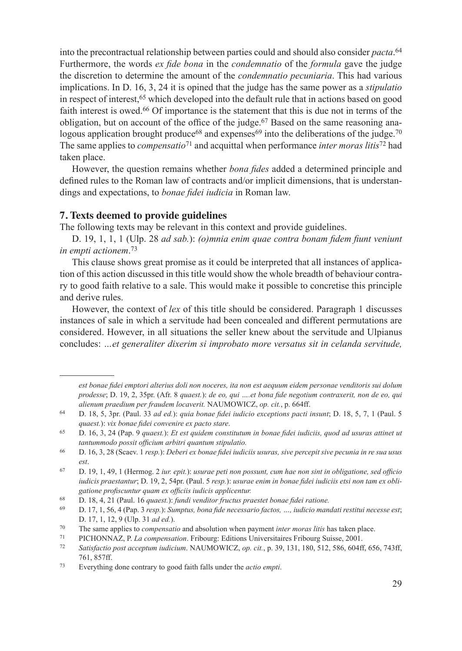into the precontractual relationship between parties could and should also consider *pacta*. 64 Furthermore, the words *ex fide bona* in the *condemnatio* of the *formula* gave the judge the discretion to determine the amount of the *condemnatio pecuniaria*. This had various implications. In D. 16, 3, 24 it is opined that the judge has the same power as a *stipulatio* in respect of interest,  $65$  which developed into the default rule that in actions based on good faith interest is owed.<sup>66</sup> Of importance is the statement that this is due not in terms of the obligation, but on account of the office of the judge.<sup>67</sup> Based on the same reasoning analogous application brought produce<sup>68</sup> and expenses<sup>69</sup> into the deliberations of the judge.<sup>70</sup> The same applies to *compensatio*71 and acquittal when performance *inter moras litis*<sup>72</sup> had taken place.

However, the question remains whether *bona fides* added a determined principle and defined rules to the Roman law of contracts and/or implicit dimensions, that is understandings and expectations, to *bonae fidei iudicia* in Roman law.

#### **7. Texts deemed to provide guidelines**

The following texts may be relevant in this context and provide guidelines.

D. 19, 1, 1, 1 (Ulp. 28 *ad sab.*): *(o)mnia enim quae contra bonam fidem fiunt veniunt in empti actionem*. 73

This clause shows great promise as it could be interpreted that all instances of application of this action discussed in this title would show the whole breadth of behaviour contrary to good faith relative to a sale. This would make it possible to concretise this principle and derive rules.

However, the context of *lex* of this title should be considered. Paragraph 1 discusses instances of sale in which a servitude had been concealed and different permutations are considered. However, in all situations the seller knew about the servitude and Ulpianus concludes: *…et generaliter dixerim si improbato more versatus sit in celanda servitude,* 

*est bonae fidei emptori alterius doli non noceres, ita non est aequum eidem personae venditoris sui dolum prodesse*; D. 19, 2, 35pr. (Afr. 8 *quaest.*): *de eo, qui ….et bona fide negotium contraxerit, non de eo, qui alienum praedium per fraudem locaverit.* NAUMOWICZ, *op. cit.*, p. 664ff.

<sup>64</sup> D. 18, 5, 3pr. (Paul. 33 *ad ed.*): *quia bonae fidei iudicio exceptions pacti insunt*; D. 18, 5, 7, 1 (Paul. 5 *quaest.*): *vix bonae fidei convenire ex pacto stare*.

<sup>65</sup> D. 16, 3, 24 (Pap. 9 *quaest.*): *Et est quidem constitutum in bonae fidei iudiciis, quod ad usuras attinet ut tantummodo possit officium arbitri quantum stipulatio.*

<sup>66</sup> D. 16, 3, 28 (Scaev. 1 *resp.*): *Deberi ex bonae fidei iudiciis usuras, sive percepit sive pecunia in re sua usus est*.

<sup>67</sup> D. 19, 1, 49, 1 (Hermog. 2 *iur. epit.*): *usurae peti non possunt, cum hae non sint in obligatione, sed officio iudicis praestantur*; D. 19, 2, 54pr. (Paul. 5 *resp.*): *usurae enim in bonae fidei iudiciis etsi non tam ex obligatione profiscuntur quam ex officiis iudicis applicentur.*

<sup>68</sup> D. 18, 4, 21 (Paul. 16 *quaest.*): *fundi venditor fructus praestet bonae fidei ratione.*

<sup>69</sup> D. 17, 1, 56, 4 (Pap. 3 *resp.*): *Sumptus, bona fide necessario factos, …, iudicio mandati restitui necesse est*; D. 17, 1, 12, 9 (Ulp. 31 *ad ed.*).

<sup>70</sup> The same applies to *compensatio* and absolution when payment *inter moras litis* has taken place.

<sup>71</sup> PICHONNAZ, P. *La compensation*. Fribourg: Editions Universitaires Fribourg Suisse, 2001.

<sup>72</sup> *Satisfactio post acceptum iudicium*. NAUMOWICZ, *op. cit.*, p. 39, 131, 180, 512, 586, 604ff, 656, 743ff, 761, 857ff.

<sup>73</sup> Everything done contrary to good faith falls under the *actio empti*.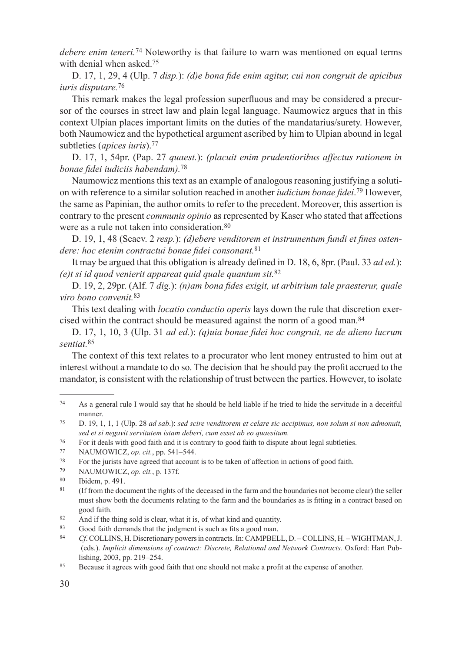*debere enim teneri*.<sup>74</sup> Noteworthy is that failure to warn was mentioned on equal terms with denial when asked.<sup>75</sup>

D. 17, 1, 29, 4 (Ulp. 7 *disp.*): *(d)e bona fide enim agitur, cui non congruit de apicibus iuris disputare.*<sup>76</sup>

This remark makes the legal profession superfluous and may be considered a precursor of the courses in street law and plain legal language. Naumowicz argues that in this context Ulpian places important limits on the duties of the mandatarius/surety. However, both Naumowicz and the hypothetical argument ascribed by him to Ulpian abound in legal subtleties (*apices iuris*).77

D. 17, 1, 54pr. (Pap. 27 *quaest.*): *(placuit enim prudentioribus affectus rationem in bonae fidei iudiciis habendam).*<sup>78</sup>

Naumowicz mentions this text as an example of analogous reasoning justifying a solution with reference to a similar solution reached in another *iudicium bonae fidei*. 79 However, the same as Papinian, the author omits to refer to the precedent. Moreover, this assertion is contrary to the present *communis opinio* as represented by Kaser who stated that affections were as a rule not taken into consideration.<sup>80</sup>

D. 19, 1, 48 (Scaev. 2 *resp.*): *(d)ebere venditorem et instrumentum fundi et fines ostendere: hoc etenim contractui bonae fidei consonant.*<sup>81</sup>

It may be argued that this obligation is already defined in D. 18, 6, 8pr. (Paul. 33 *ad ed.*): *(e)t si id quod venierit appareat quid quale quantum sit.*<sup>82</sup>

D. 19, 2, 29pr. (Alf. 7 *dig.*): *(n)am bona fides exigit, ut arbitrium tale praesterur, quale viro bono convenit.*<sup>83</sup>

This text dealing with *locatio conductio operis* lays down the rule that discretion exercised within the contract should be measured against the norm of a good man.84

D. 17, 1, 10, 3 (Ulp. 31 *ad ed.*): *(q)uia bonae fidei hoc congruit, ne de alieno lucrum sentiat.*<sup>85</sup>

The context of this text relates to a procurator who lent money entrusted to him out at interest without a mandate to do so. The decision that he should pay the profit accrued to the mandator, is consistent with the relationship of trust between the parties. However, to isolate

<sup>74</sup> As a general rule I would say that he should be held liable if he tried to hide the servitude in a deceitful manner.

<sup>75</sup> D. 19, 1, 1, 1 (Ulp. 28 *ad sab*.): *sed scire venditorem et celare sic accipimus, non solum si non admonuit, sed et si negavit servitutem istam deberi, cum esset ab eo quaesitum.*

<sup>76</sup> For it deals with good faith and it is contrary to good faith to dispute about legal subtleties.

<sup>77</sup> NAUMOWICZ, *op. cit.*, pp. 541–544.

<sup>78</sup> For the jurists have agreed that account is to be taken of affection in actions of good faith.

<sup>79</sup> NAUMOWICZ, *op. cit.*, p. 137f. 80 Ibidem, p. 491.

<sup>&</sup>lt;sup>81</sup> (If from the document the rights of the deceased in the farm and the boundaries not become clear) the seller must show both the documents relating to the farm and the boundaries as is fitting in a contract based on good faith.

<sup>82</sup> And if the thing sold is clear, what it is, of what kind and quantity.

Good faith demands that the judgment is such as fits a good man.

<sup>84</sup> *Cf*. COLLINS, H. Discretionary powers in contracts. In: CAMPBELL, D. – COLLINS, H. – WIGHTMAN, J. (eds.). *Implicit dimensions of contract: Discrete, Relational and Network Contracts.* Oxford: Hart Publishing, 2003, pp. 219–254.

<sup>85</sup> Because it agrees with good faith that one should not make a profit at the expense of another.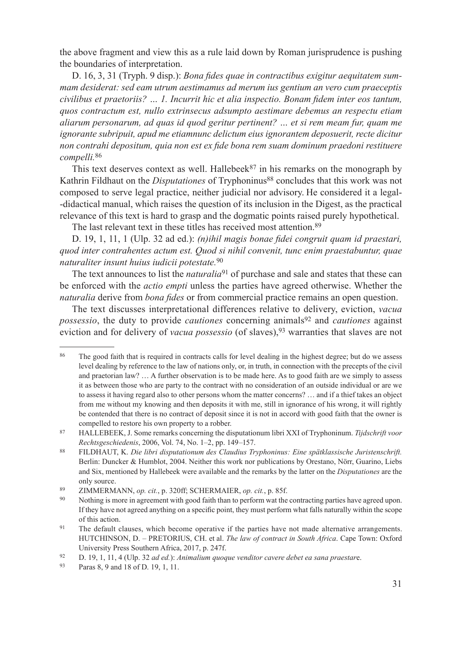the above fragment and view this as a rule laid down by Roman jurisprudence is pushing the boundaries of interpretation.

D. 16, 3, 31 (Tryph. 9 disp.): *Bona fides quae in contractibus exigitur aequitatem summam desiderat: sed eam utrum aestimamus ad merum ius gentium an vero cum praeceptis civilibus et praetoriis? … 1. Incurrit hic et alia inspectio. Bonam fidem inter eos tantum, quos contractum est, nullo extrinsecus adsumpto aestimare debemus an respectu etiam aliarum personarum, ad quas id quod geritur pertinent? … et si rem meam fur, quam me ignorante subripuit, apud me etiamnunc delictum eius ignorantem deposuerit, recte dicitur non contrahi depositum, quia non est ex fide bona rem suam dominum praedoni restituere compelli.*<sup>86</sup>

This text deserves context as well. Hallebeek $87$  in his remarks on the monograph by Kathrin Fildhaut on the *Disputationes* of Tryphoninus<sup>88</sup> concludes that this work was not composed to serve legal practice, neither judicial nor advisory. He considered it a legal- -didactical manual, which raises the question of its inclusion in the Digest, as the practical relevance of this text is hard to grasp and the dogmatic points raised purely hypothetical.

The last relevant text in these titles has received most attention.<sup>89</sup>

D. 19, 1, 11, 1 (Ulp. 32 ad ed.): *(n)ihil magis bonae fidei congruit quam id praestari, quod inter contrahentes actum est. Quod si nihil convenit, tunc enim praestabuntur, quae naturaliter insunt huius iudicii potestate.*<sup>90</sup>

The text announces to list the *naturalia*<sup>91</sup> of purchase and sale and states that these can be enforced with the *actio empti* unless the parties have agreed otherwise. Whether the *naturalia* derive from *bona fides* or from commercial practice remains an open question.

The text discusses interpretational differences relative to delivery, eviction, *vacua possessio*, the duty to provide *cautiones* concerning animals<sup>92</sup> and *cautiones* against eviction and for delivery of *vacua possessio* (of slaves),93 warranties that slaves are not

<sup>86</sup> The good faith that is required in contracts calls for level dealing in the highest degree; but do we assess level dealing by reference to the law of nations only, or, in truth, in connection with the precepts of the civil and praetorian law? … A further observation is to be made here. As to good faith are we simply to assess it as between those who are party to the contract with no consideration of an outside individual or are we to assess it having regard also to other persons whom the matter concerns? … and if a thief takes an object from me without my knowing and then deposits it with me, still in ignorance of his wrong, it will rightly be contended that there is no contract of deposit since it is not in accord with good faith that the owner is compelled to restore his own property to a robber. 87 HALLEBEEK, J. Some remarks concerning the disputationum libri XXI of Tryphoninum. *Tijdschrift voor* 

*Rechtsgeschiedenis*, 2006, Vol. 74, No. 1–2, pp. 149–157.

<sup>88</sup> FILDHAUT, K. *Die libri disputationum des Claudius Tryphoninus: Eine spätklassische Juristenschrift.* Berlin: Duncker & Humblot, 2004. Neither this work nor publications by Orestano, Nörr, Guarino, Liebs and Six, mentioned by Hallebeek were available and the remarks by the latter on the *Disputationes* are the only source.

<sup>89</sup> ZIMMERMANN, *op. cit.*, p. 320ff; SCHERMAIER, *op. cit.*, p. 85f.

<sup>90</sup> Nothing is more in agreement with good faith than to perform wat the contracting parties have agreed upon. If they have not agreed anything on a specific point, they must perform what falls naturally within the scope of this action.

<sup>91</sup> The default clauses, which become operative if the parties have not made alternative arrangements. HUTCHINSON, D. – PRETORIUS, CH. et al. *The law of contract in South Africa*. Cape Town: Oxford University Press Southern Africa, 2017, p. 247f.

<sup>92</sup> D. 19, 1, 11, 4 (Ulp. 32 *ad ed.*): *Animalium quoque venditor cavere debet ea sana praestar*e.

<sup>93</sup> Paras 8, 9 and 18 of D. 19, 1, 11.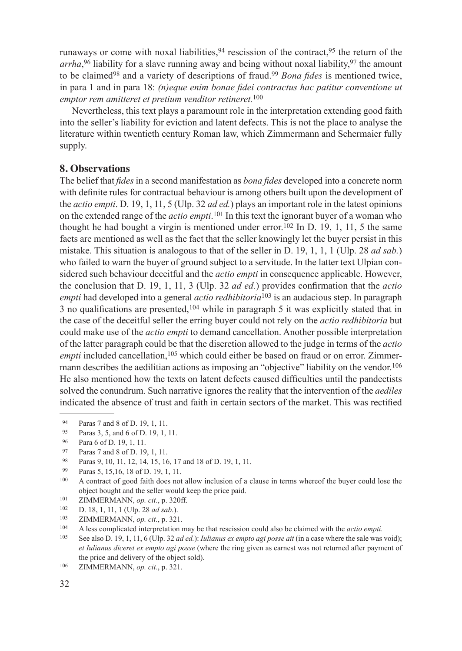runaways or come with noxal liabilities,  $94$  rescission of the contract,  $95$  the return of the arrha,<sup>96</sup> liability for a slave running away and being without noxal liability,<sup>97</sup> the amount to be claimed98 and a variety of descriptions of fraud.99 *Bona fides* is mentioned twice, in para 1 and in para 18: *(n)eque enim bonae fidei contractus hac patitur conventione ut emptor rem amitteret et pretium venditor retineret.*<sup>100</sup>

Nevertheless, this text plays a paramount role in the interpretation extending good faith into the seller's liability for eviction and latent defects. This is not the place to analyse the literature within twentieth century Roman law, which Zimmermann and Schermaier fully supply.

### **8. Observations**

The belief that *fides* in a second manifestation as *bona fides* developed into a concrete norm with definite rules for contractual behaviour is among others built upon the development of the *actio empti*. D. 19, 1, 11, 5 (Ulp. 32 *ad ed.*) plays an important role in the latest opinions on the extended range of the *actio empti*. 101 In this text the ignorant buyer of a woman who thought he had bought a virgin is mentioned under error.<sup>102</sup> In D. 19, 1, 11, 5 the same facts are mentioned as well as the fact that the seller knowingly let the buyer persist in this mistake. This situation is analogous to that of the seller in D. 19, 1, 1, 1 (Ulp. 28 *ad sab.*) who failed to warn the buyer of ground subject to a servitude. In the latter text Ulpian considered such behaviour deceitful and the *actio empti* in consequence applicable. However, the conclusion that D. 19, 1, 11, 3 (Ulp. 32 *ad ed.*) provides confirmation that the *actio empti* had developed into a general *actio redhibitoria*103 is an audacious step. In paragraph 3 no qualifications are presented,<sup>104</sup> while in paragraph 5 it was explicitly stated that in the case of the deceitful seller the erring buyer could not rely on the *actio redhibitoria* but could make use of the *actio empti* to demand cancellation. Another possible interpretation of the latter paragraph could be that the discretion allowed to the judge in terms of the *actio empti* included cancellation,<sup>105</sup> which could either be based on fraud or on error. Zimmermann describes the aedilitian actions as imposing an "objective" liability on the vendor.106 He also mentioned how the texts on latent defects caused difficulties until the pandectists solved the conundrum. Such narrative ignores the reality that the intervention of the *aediles* indicated the absence of trust and faith in certain sectors of the market. This was rectified

<sup>94</sup> Paras 7 and 8 of D. 19, 1, 11.

Paras 3, 5, and 6 of D. 19, 1, 11.

<sup>96</sup> Para 6 of D. 19, 1, 11.

<sup>97</sup> Paras 7 and 8 of D. 19, 1, 11.

<sup>98</sup> Paras 9, 10, 11, 12, 14, 15, 16, 17 and 18 of D. 19, 1, 11.<br>
99 Paras 5, 15, 16, 18 of D. 19, 1, 11.

<sup>&</sup>lt;sup>100</sup> A contract of good faith does not allow inclusion of a clause in terms whereof the buyer could lose the object bought and the seller would keep the price paid.

<sup>101</sup> ZIMMERMANN, *op. cit.*, p. 320ff.

<sup>102</sup> D. 18, 1, 11, 1 (Ulp. 28 *ad sab.*).<br>
2IMMERMANN, *op. cit.*, p. 321.<br>
104 A less complicated interpretation is

<sup>104</sup> A less complicated interpretation may be that rescission could also be claimed with the *actio empti.*

<sup>105</sup> See also D. 19, 1, 11, 6 (Ulp. 32 *ad ed.*): *Iulianus ex empto agi posse ait* (in a case where the sale was void); *et Iulianus diceret ex empto agi posse* (where the ring given as earnest was not returned after payment of the price and delivery of the object sold).

<sup>106</sup> ZIMMERMANN, *op. cit.*, p. 321.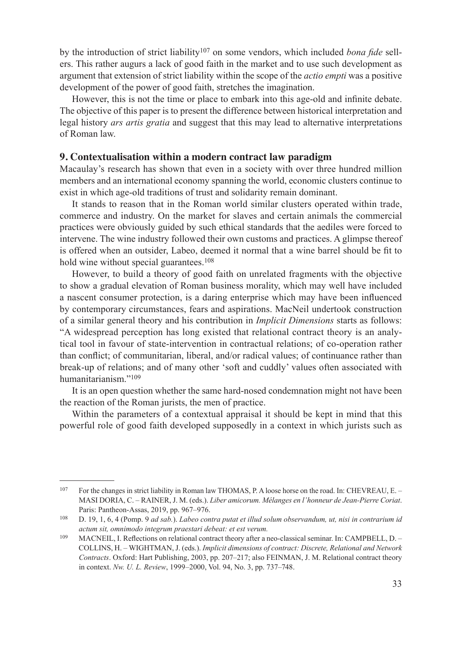by the introduction of strict liability107 on some vendors, which included *bona fide* sellers. This rather augurs a lack of good faith in the market and to use such development as argument that extension of strict liability within the scope of the *actio empti* was a positive development of the power of good faith, stretches the imagination.

However, this is not the time or place to embark into this age-old and infinite debate. The objective of this paper is to present the difference between historical interpretation and legal history *ars artis gratia* and suggest that this may lead to alternative interpretations of Roman law.

#### **9. Contextualisation within a modern contract law paradigm**

Macaulay's research has shown that even in a society with over three hundred million members and an international economy spanning the world, economic clusters continue to exist in which age-old traditions of trust and solidarity remain dominant.

It stands to reason that in the Roman world similar clusters operated within trade, commerce and industry. On the market for slaves and certain animals the commercial practices were obviously guided by such ethical standards that the aediles were forced to intervene. The wine industry followed their own customs and practices. A glimpse thereof is offered when an outsider, Labeo, deemed it normal that a wine barrel should be fit to hold wine without special guarantees.<sup>108</sup>

However, to build a theory of good faith on unrelated fragments with the objective to show a gradual elevation of Roman business morality, which may well have included a nascent consumer protection, is a daring enterprise which may have been influenced by contemporary circumstances, fears and aspirations. MacNeil undertook construction of a similar general theory and his contribution in *Implicit Dimensions* starts as follows: "A widespread perception has long existed that relational contract theory is an analytical tool in favour of state-intervention in contractual relations; of co-operation rather than conflict; of communitarian, liberal, and/or radical values; of continuance rather than break-up of relations; and of many other 'soft and cuddly' values often associated with humanitarianism."109

It is an open question whether the same hard-nosed condemnation might not have been the reaction of the Roman jurists, the men of practice.

Within the parameters of a contextual appraisal it should be kept in mind that this powerful role of good faith developed supposedly in a context in which jurists such as

<sup>107</sup> For the changes in strict liability in Roman law THOMAS, P. A loose horse on the road. In: CHEVREAU, E. – MASI DORIA, C. – RAINER, J. M. (eds.). *Liber amicorum. Mélanges en l'honneur de Jean-Pierre Coriat*. Paris: Pantheon-Assas, 2019, pp. 967–976.

<sup>108</sup> D. 19, 1, 6, 4 (Pomp. 9 *ad sab.*). *Labeo contra putat et illud solum observandum, ut, nisi in contrarium id actum sit, omnimodo integrum praestari debeat: et est verum.*

<sup>109</sup> MACNEIL, I. Reflections on relational contract theory after a neo-classical seminar. In: CAMPBELL, D. – COLLINS, H. – WIGHTMAN, J. (eds.). *Implicit dimensions of contract: Discrete, Relational and Network Contracts*. Oxford: Hart Publishing, 2003, pp. 207–217; also FEINMAN, J. M. Relational contract theory in context. *Nw. U. L. Review*, 1999–2000, Vol. 94, No. 3, pp. 737–748.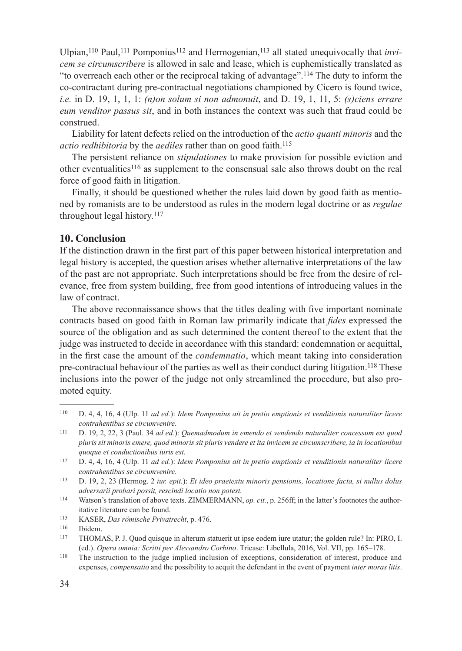Ulpian,<sup>110</sup> Paul,<sup>111</sup> Pomponius<sup>112</sup> and Hermogenian,<sup>113</sup> all stated unequivocally that *invicem se circumscribere* is allowed in sale and lease, which is euphemistically translated as "to overreach each other or the reciprocal taking of advantage".114 The duty to inform the co-contractant during pre-contractual negotiations championed by Cicero is found twice, *i.e.* in D. 19, 1, 1, 1: *(n)on solum si non admonuit*, and D. 19, 1, 11, 5: *(s)ciens errare eum venditor passus sit*, and in both instances the context was such that fraud could be construed.

Liability for latent defects relied on the introduction of the *actio quanti minoris* and the *actio redhibitoria* by the *aediles* rather than on good faith.115

The persistent reliance on *stipulationes* to make provision for possible eviction and other eventualities116 as supplement to the consensual sale also throws doubt on the real force of good faith in litigation.

Finally, it should be questioned whether the rules laid down by good faith as mentioned by romanists are to be understood as rules in the modern legal doctrine or as *regulae* throughout legal history.117

## **10. Conclusion**

If the distinction drawn in the first part of this paper between historical interpretation and legal history is accepted, the question arises whether alternative interpretations of the law of the past are not appropriate. Such interpretations should be free from the desire of relevance, free from system building, free from good intentions of introducing values in the law of contract.

The above reconnaissance shows that the titles dealing with five important nominate contracts based on good faith in Roman law primarily indicate that *fides* expressed the source of the obligation and as such determined the content thereof to the extent that the judge was instructed to decide in accordance with this standard: condemnation or acquittal, in the first case the amount of the *condemnatio*, which meant taking into consideration pre-contractual behaviour of the parties as well as their conduct during litigation.<sup>118</sup> These inclusions into the power of the judge not only streamlined the procedure, but also promoted equity.

<sup>110</sup> D. 4, 4, 16, 4 (Ulp. 11 *ad ed.*): *Idem Pomponius ait in pretio emptionis et venditionis naturaliter licere contrahentibus se circumvenire.*

<sup>111</sup> D. 19, 2, 22, 3 (Paul. 34 *ad ed.*): *Quemadmodum in emendo et vendendo naturaliter concessum est quod pluris sit minoris emere, quod minoris sit pluris vendere et ita invicem se circumscribere, ia in locationibus quoque et conductionibus iuris est.*

<sup>112</sup> D. 4, 4, 16, 4 (Ulp. 11 *ad ed.*): *Idem Pomponius ait in pretio emptionis et venditionis naturaliter licere contrahentibus se circumvenire.*

<sup>113</sup> D. 19, 2, 23 (Hermog. 2 *iur. epit.*): *Et ideo praetextu minoris pensionis, locatione facta, si nullus dolus adversarii probari possit, rescindi locatio non potest.*

<sup>114</sup> Watson's translation of above texts. ZIMMERMANN, *op. cit.*, p. 256ff; in the latter's footnotes the authoritative literature can be found.

<sup>115</sup> KASER, *Das römische Privatrecht*, p. 476.

Ibidem.

<sup>117</sup> THOMAS, P. J. Quod quisque in alterum statuerit ut ipse eodem iure utatur; the golden rule? In: PIRO, I. (ed.). *Opera omnia: Scritti per Alessandro Corbino*. Tricase: Libellula, 2016, Vol. VII, pp. 165–178.

<sup>118</sup> The instruction to the judge implied inclusion of exceptions, consideration of interest, produce and expenses, *compensatio* and the possibility to acquit the defendant in the event of payment *inter moras litis*.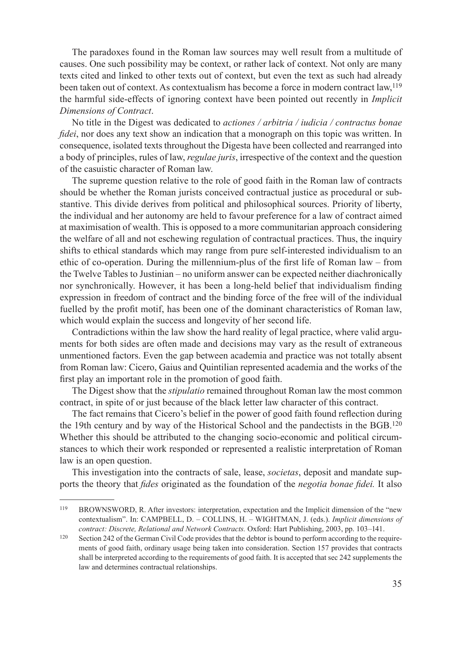The paradoxes found in the Roman law sources may well result from a multitude of causes. One such possibility may be context, or rather lack of context. Not only are many texts cited and linked to other texts out of context, but even the text as such had already been taken out of context. As contextualism has become a force in modern contract law,119 the harmful side-effects of ignoring context have been pointed out recently in *Implicit Dimensions of Contract*.

No title in the Digest was dedicated to *actiones / arbitria / iudicia / contractus bonae fidei*, nor does any text show an indication that a monograph on this topic was written. In consequence, isolated texts throughout the Digesta have been collected and rearranged into a body of principles, rules of law, *regulae juris*, irrespective of the context and the question of the casuistic character of Roman law.

The supreme question relative to the role of good faith in the Roman law of contracts should be whether the Roman jurists conceived contractual justice as procedural or substantive. This divide derives from political and philosophical sources. Priority of liberty, the individual and her autonomy are held to favour preference for a law of contract aimed at maximisation of wealth. This is opposed to a more communitarian approach considering the welfare of all and not eschewing regulation of contractual practices. Thus, the inquiry shifts to ethical standards which may range from pure self-interested individualism to an ethic of co-operation. During the millennium-plus of the first life of Roman law – from the Twelve Tables to Justinian – no uniform answer can be expected neither diachronically nor synchronically. However, it has been a long-held belief that individualism finding expression in freedom of contract and the binding force of the free will of the individual fuelled by the profit motif, has been one of the dominant characteristics of Roman law, which would explain the success and longevity of her second life.

Contradictions within the law show the hard reality of legal practice, where valid arguments for both sides are often made and decisions may vary as the result of extraneous unmentioned factors. Even the gap between academia and practice was not totally absent from Roman law: Cicero, Gaius and Quintilian represented academia and the works of the first play an important role in the promotion of good faith.

The Digest show that the *stipulatio* remained throughout Roman law the most common contract, in spite of or just because of the black letter law character of this contract.

The fact remains that Cicero's belief in the power of good faith found reflection during the 19th century and by way of the Historical School and the pandectists in the BGB.120 Whether this should be attributed to the changing socio-economic and political circumstances to which their work responded or represented a realistic interpretation of Roman law is an open question.

This investigation into the contracts of sale, lease, *societas*, deposit and mandate supports the theory that *fides* originated as the foundation of the *negotia bonae fidei.* It also

<sup>119</sup> BROWNSWORD, R. After investors: interpretation, expectation and the Implicit dimension of the "new contextualism". In: CAMPBELL, D. – COLLINS, H. – WIGHTMAN, J. (eds.). *Implicit dimensions of contract: Discrete, Relational and Network Contracts.* Oxford: Hart Publishing, 2003, pp. 103–141.

<sup>&</sup>lt;sup>120</sup> Section 242 of the German Civil Code provides that the debtor is bound to perform according to the requirements of good faith, ordinary usage being taken into consideration. Section 157 provides that contracts shall be interpreted according to the requirements of good faith. It is accepted that sec 242 supplements the law and determines contractual relationships.